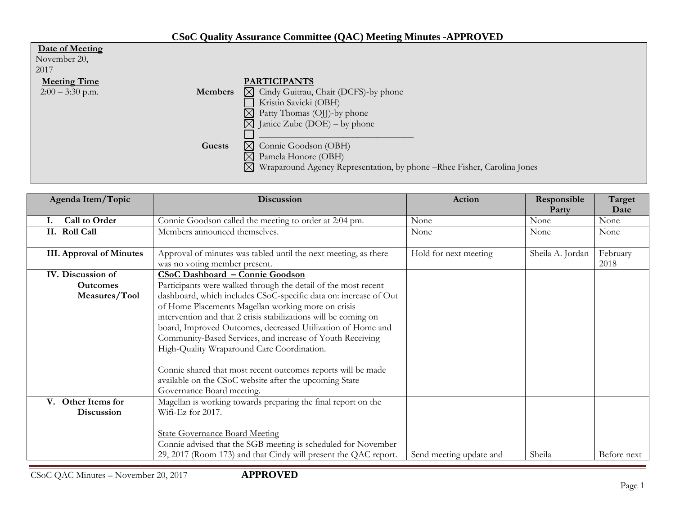|  | <b>CSoC Quality Assurance Committee (QAC) Meeting Minutes -APPROVED</b> |
|--|-------------------------------------------------------------------------|
|--|-------------------------------------------------------------------------|

| Date of Meeting<br>November 20, |                |                                                                                         |
|---------------------------------|----------------|-----------------------------------------------------------------------------------------|
| 2017                            |                |                                                                                         |
| <b>Meeting Time</b>             |                | <b>PARTICIPANTS</b>                                                                     |
| $2:00 - 3:30$ p.m.              | <b>Members</b> | $\boxtimes$ Cindy Guitrau, Chair (DCFS)-by phone                                        |
|                                 |                | Kristin Savicki (OBH)                                                                   |
|                                 |                | $\boxtimes$<br>Patty Thomas (OJJ)-by phone                                              |
|                                 |                | $\boxtimes$ Janice Zube (DOE) – by phone                                                |
|                                 |                |                                                                                         |
|                                 | Guests         | Connie Goodson (OBH)<br>$\boxtimes$                                                     |
|                                 |                | $\boxtimes$<br>Pamela Honore (OBH)                                                      |
|                                 |                | $\boxtimes$<br>Wraparound Agency Representation, by phone – Rhee Fisher, Carolina Jones |
|                                 |                |                                                                                         |

| Agenda Item/Topic               | Discussion                                                       | Action                  | Responsible      | Target      |
|---------------------------------|------------------------------------------------------------------|-------------------------|------------------|-------------|
|                                 |                                                                  |                         | Party            | Date        |
| Call to Order<br>Ι.             | Connie Goodson called the meeting to order at 2:04 pm.           | None                    | None             | None        |
| II. Roll Call                   | Members announced themselves.                                    | None                    | None             | None        |
|                                 |                                                                  |                         |                  |             |
| <b>III.</b> Approval of Minutes | Approval of minutes was tabled until the next meeting, as there  | Hold for next meeting   | Sheila A. Jordan | February    |
|                                 | was no voting member present.                                    |                         |                  | 2018        |
| IV. Discussion of               | <b>CSoC Dashboard - Connie Goodson</b>                           |                         |                  |             |
| <b>Outcomes</b>                 | Participants were walked through the detail of the most recent   |                         |                  |             |
| Measures/Tool                   | dashboard, which includes CSoC-specific data on: increase of Out |                         |                  |             |
|                                 | of Home Placements Magellan working more on crisis               |                         |                  |             |
|                                 | intervention and that 2 crisis stabilizations will be coming on  |                         |                  |             |
|                                 | board, Improved Outcomes, decreased Utilization of Home and      |                         |                  |             |
|                                 | Community-Based Services, and increase of Youth Receiving        |                         |                  |             |
|                                 | High-Quality Wraparound Care Coordination.                       |                         |                  |             |
|                                 |                                                                  |                         |                  |             |
|                                 | Connie shared that most recent outcomes reports will be made     |                         |                  |             |
|                                 | available on the CSoC website after the upcoming State           |                         |                  |             |
|                                 | Governance Board meeting.                                        |                         |                  |             |
| Other Items for<br>$V_{\cdot}$  | Magellan is working towards preparing the final report on the    |                         |                  |             |
| Discussion                      | Wifi-Ez for 2017.                                                |                         |                  |             |
|                                 |                                                                  |                         |                  |             |
|                                 | <b>State Governance Board Meeting</b>                            |                         |                  |             |
|                                 | Connie advised that the SGB meeting is scheduled for November    |                         |                  |             |
|                                 | 29, 2017 (Room 173) and that Cindy will present the QAC report.  | Send meeting update and | Sheila           | Before next |